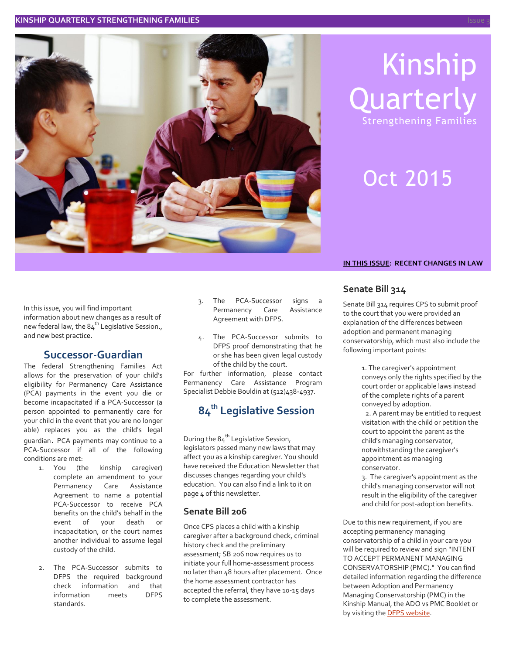

# Kinship **Quarterly** Strengthening Families

# Oct 2015

In this issue, you will find important information about new changes as a result of new federal law, the  $84<sup>th</sup>$  Legislative Session., and new best practice.

## **Successor-Guardian**

The federal Strengthening Families Act allows for the preservation of your child's eligibility for Permanency Care Assistance (PCA) payments in the event you die or become incapacitated if a PCA-Successor (a person appointed to permanently care for your child in the event that you are no longer able) replaces you as the child's legal guardian. PCA payments may continue to a PCA-Successor if all of the following conditions are met:

- 1. You (the kinship caregiver) complete an amendment to your Permanency Care Assistance Agreement to name a potential PCA-Successor to receive PCA benefits on the child's behalf in the event of your death or incapacitation, or the court names another individual to assume legal custody of the child.
- 2. The PCA-Successor submits to DFPS the required background check information and that information meets DFPS standards.
- 3. The PCA-Successor signs a Permanency Care Assistance Agreement with DFPS.
- The PCA-Successor submits to DFPS proof demonstrating that he or she has been given legal custody of the child by the court.

For further information, please contact Permanency Care Assistance Program Specialist Debbie Bouldin at (512)438-4937.

## **84th Legislative Session**

During the  $84<sup>th</sup>$  Legislative Session, legislators passed many new laws that may affect you as a kinship caregiver. You should have received the Education Newsletter that discusses changes regarding your child's education. You can also find a link to it on page 4 of this newsletter.

#### **Senate Bill 206**

Once CPS places a child with a kinship caregiver after a background check, criminal history check and the preliminary assessment; SB 206 now requires us to initiate your full home-assessment process no later than 48 hours after placement. Once the home assessment contractor has accepted the referral, they have 10-15 days to complete the assessment.

#### **IN THIS ISSUE: RECENT CHANGES IN LAW**

### **Senate Bill 314**

Senate Bill 314 requires CPS to submit proof to the court that you were provided an explanation of the differences between adoption and permanent managing conservatorship, which must also include the following important points:

> 1. The caregiver's appointment conveys only the rights specified by the court order or applicable laws instead of the complete rights of a parent conveyed by adoption.

> 2. A parent may be entitled to request visitation with the child or petition the court to appoint the parent as the child's managing conservator, notwithstanding the caregiver's appointment as managing conservator.

3. The caregiver's appointment as the child's managing conservator will not result in the eligibility of the caregiver and child for post-adoption benefits.

Due to this new requirement, if you are accepting permanency managing conservatorship of a child in your care you will be required to review and sign "INTENT TO ACCEPT PERMANENT MANAGING CONSERVATORSHIP (PMC)." You can find detailed information regarding the difference between Adoption and Permanency Managing Conservatorship (PMC) in the Kinship Manual, the ADO vs PMC Booklet or by visiting the **DFPS** [website.](https://www.dfps.state.tx.us/Adoption_and_Foster_Care/About_Adoption/pmc.asp)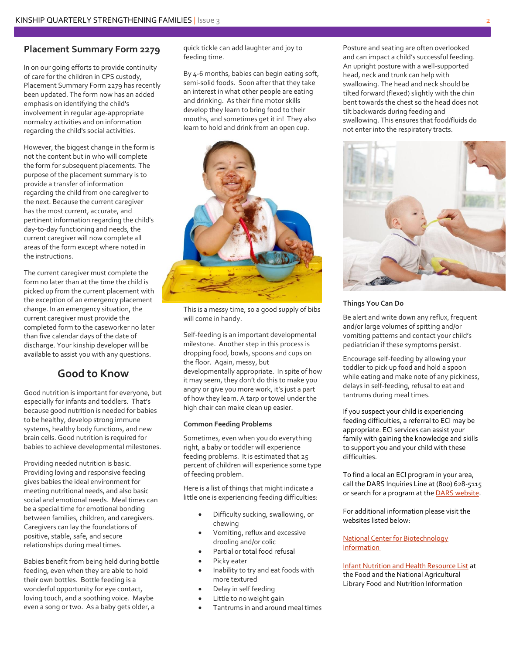#### **Placement Summary Form 2279**

In on our going efforts to provide continuity of care for the children in CPS custody, Placement Summary Form 2279 has recently been updated. The form now has an added emphasis on identifying the child's involvement in regular age-appropriate normalcy activities and on information regarding the child's social activities.

However, the biggest change in the form is not the content but in who will complete the form for subsequent placements. The purpose of the placement summary is to provide a transfer of information regarding the child from one caregiver to the next. Because the current caregiver has the most current, accurate, and pertinent information regarding the child's day-to-day functioning and needs, the current caregiver will now complete all areas of the form except where noted in the instructions.

The current caregiver must complete the form no later than at the time the child is picked up from the current placement with the exception of an emergency placement change. In an emergency situation, the current caregiver must provide the completed form to the caseworker no later than five calendar days of the date of discharge. Your kinship developer will be available to assist you with any questions.

## **Good to Know**

Good nutrition is important for everyone, but especially for infants and toddlers. That's because good nutrition is needed for babies to be healthy, develop strong immune systems, healthy body functions, and new brain cells. Good nutrition is required for babies to achieve developmental milestones.

Providing needed nutrition is basic. Providing loving and responsive feeding gives babies the ideal environment for meeting nutritional needs, and also basic social and emotional needs. Meal times can be a special time for emotional bonding between families, children, and caregivers. Caregivers can lay the foundations of positive, stable, safe, and secure relationships during meal times.

Babies benefit from being held during bottle feeding, even when they are able to hold their own bottles. Bottle feeding is a wonderful opportunity for eye contact, loving touch, and a soothing voice. Maybe even a song or two. As a baby gets older, a

quick tickle can add laughter and joy to feeding time.

By 4-6 months, babies can begin eating soft, semi-solid foods. Soon after that they take an interest in what other people are eating and drinking. As their fine motor skills develop they learn to bring food to their mouths, and sometimes get it in! They also learn to hold and drink from an open cup.

![](_page_1_Picture_11.jpeg)

This is a messy time, so a good supply of bibs will come in handy.

Self-feeding is an important developmental milestone. Another step in this process is dropping food, bowls, spoons and cups on the floor. Again, messy, but developmentally appropriate. In spite of how it may seem, they don't do this to make you angry or give you more work, it's just a part of how they learn. A tarp or towel under the high chair can make clean up easier.

#### **Common Feeding Problems**

Sometimes, even when you do everything right, a baby or toddler will experience feeding problems. It is estimated that 25 percent of children will experience some type of feeding problem.

Here is a list of things that might indicate a little one is experiencing feeding difficulties:

- Difficulty sucking, swallowing, or chewing
- Vomiting, reflux and excessive drooling and/or colic
- Partial or total food refusal
- **•** Picky eater
- Inability to try and eat foods with more textured
- Delay in self feeding
- Little to no weight gain
- Tantrums in and around meal times

Posture and seating are often overlooked and can impact a child's successful feeding. An upright posture with a well-supported head, neck and trunk can help with swallowing. The head and neck should be tilted forward (flexed) slightly with the chin bent towards the chest so the head does not tilt backwards during feeding and swallowing. This ensures that food/fluids do not enter into the respiratory tracts.

![](_page_1_Picture_26.jpeg)

#### **Things You Can Do**

Be alert and write down any reflux, frequent and/or large volumes of spitting and/or vomiting patterns and contact your child's pediatrician if these symptoms persist.

Encourage self-feeding by allowing your toddler to pick up food and hold a spoon while eating and make note of any pickiness, delays in self-feeding, refusal to eat and tantrums during meal times.

If you suspect your child is experiencing feeding difficulties, a referral to ECI may be appropriate. ECI services can assist your family with gaining the knowledge and skills to support you and your child with these difficulties.

To find a local an ECI program in your area, call the DARS Inquiries Line at (800) 628-5115 or search for a program at th[e DARS website.](http://www.dars.state.tx.us/ecis/searchprogram.asp)

For additional information please visit the websites listed below:

[National Center for Biotechnology](http://www.ncbi.nlm.nih.gov/pmc/articles/PMC2851259/)  [Information](http://www.ncbi.nlm.nih.gov/pmc/articles/PMC2851259/)

[Infant Nutrition and Health Resource List](http://www.nal.usda.gov/fnic/pubs/infnut.pdf) at the Food and the National Agricultural Library Food and Nutrition Information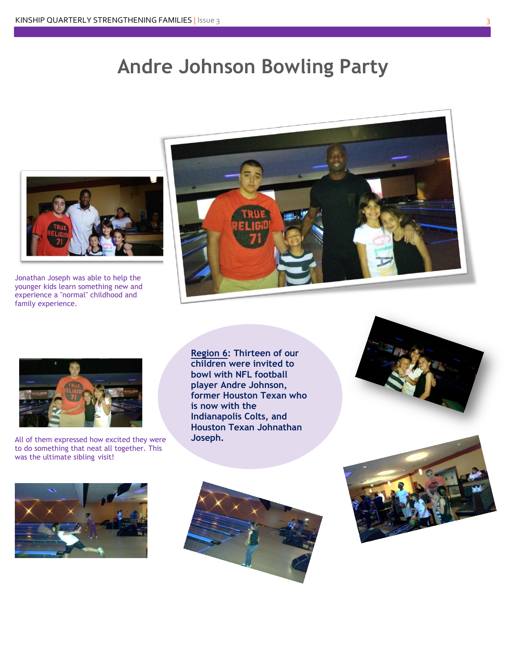# **Andre Johnson Bowling Party**

![](_page_2_Picture_2.jpeg)

Jonathan Joseph was able to help the younger kids learn something new and experience a "normal" childhood and family experience.

![](_page_2_Picture_4.jpeg)

![](_page_2_Picture_5.jpeg)

All of them expressed how excited they were to do something that neat all together. This was the ultimate sibling visit!

**Region 6: Thirteen of our children were invited to bowl with NFL football player Andre Johnson, former Houston Texan who is now with the Indianapolis Colts, and Houston Texan Johnathan Joseph.**

![](_page_2_Picture_8.jpeg)

![](_page_2_Picture_9.jpeg)

![](_page_2_Picture_10.jpeg)

![](_page_2_Picture_11.jpeg)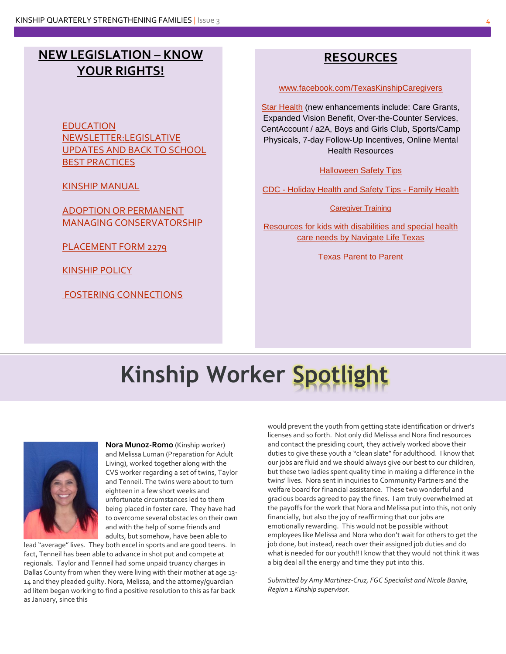# **NEW LEGISLATION – KNOW YOUR RIGHTS!**

[EDUCATION](https://www.dfps.state.tx.us/Adoption_and_Foster_Care/Kinship_Care/newsletters/2015/education.pdf)  [NEWSLETTER:LEGISLATIVE](https://www.dfps.state.tx.us/Adoption_and_Foster_Care/Kinship_Care/newsletters/2015/education.pdf)  [UPDATES AND BACK TO SCHOOL](https://www.dfps.state.tx.us/Adoption_and_Foster_Care/Kinship_Care/newsletters/2015/education.pdf)  [BEST PRACTICES](https://www.dfps.state.tx.us/Adoption_and_Foster_Care/Kinship_Care/newsletters/2015/education.pdf)

[KINSHIP MANUAL](https://www.dfps.state.tx.us/documents/Child_Protection/pdf/KinshipManual.pdf)

[ADOPTION OR PERMANENT](https://www.dfps.state.tx.us/Adoption_and_Foster_Care/About_Adoption/pmc.asp)  [MANAGING CONSERVATORSHIP](https://www.dfps.state.tx.us/Adoption_and_Foster_Care/About_Adoption/pmc.asp)

[PLACEMENT FORM 2279](https://www.dfps.state.tx.us/application/Forms/showFile.aspx?NAME=2279.doc)

[KINSHIP POLICY](https://www.dfps.state.tx.us/handbooks/CPS/Files/CPS_pg_4500.asp)

[FOSTERING CONNECTIONS](http://www.dfps.state.tx.us/Child_Protection/Fostering_Connections)

## **RESOURCES**

[www.facebook.com/TexasKinshipCaregivers](https://www.facebook.com/TexasKinshipCaregivers)

[Star Health](https://www.dfps.state.tx.us/Child_Protection/Medical_Services/guide-star.asp) (new enhancements include: Care Grants, Expanded Vision Benefit, Over-the-Counter Services, CentAccount / a2A, Boys and Girls Club, Sports/Camp Physicals, 7-day Follow-Up Incentives, Online Mental Health Resources

[Halloween Safety Tips](http://www.safekids.org/tip/halloween-safety-tips)

CDC - [Holiday Health and Safety Tips -](http://www.cdc.gov/family/holiday) Family Health

[Caregiver Training](http://www.cenpaticou.com/foster-care-edu/caregiver-training/)

[Resources for kids with disabilities and special health](https://www.navigatelifetexas.org/en)  [care needs by Navigate Life Texas](https://www.navigatelifetexas.org/en)

[Texas Parent to Parent](http://www.txp2p.org/)

# **Kinship Worker Spotlight**

![](_page_3_Picture_17.jpeg)

**Nora Munoz-Romo** (Kinship worker) and Melissa Luman (Preparation for Adult Living), worked together along with the CVS worker regarding a set of twins, Taylor and Tenneil. The twins were about to turn eighteen in a few short weeks and unfortunate circumstances led to them being placed in foster care. They have had to overcome several obstacles on their own and with the help of some friends and adults, but somehow, have been able to

lead "average" lives. They both excel in sports and are good teens. In fact, Tenneil has been able to advance in shot put and compete at regionals. Taylor and Tenneil had some unpaid truancy charges in Dallas County from when they were living with their mother at age 13- 14 and they pleaded guilty. Nora, Melissa, and the attorney/guardian ad litem began working to find a positive resolution to this as far back as January, since this

would prevent the youth from getting state identification or driver's licenses and so forth. Not only did Melissa and Nora find resources and contact the presiding court, they actively worked above their duties to give these youth a "clean slate" for adulthood. I know that our jobs are fluid and we should always give our best to our children, but these two ladies spent quality time in making a difference in the twins' lives. Nora sent in inquiries to Community Partners and the welfare board for financial assistance. These two wonderful and gracious boards agreed to pay the fines. I am truly overwhelmed at the payoffs for the work that Nora and Melissa put into this, not only financially, but also the joy of reaffirming that our jobs are emotionally rewarding. This would not be possible without employees like Melissa and Nora who don't wait for others to get the job done, but instead, reach over their assigned job duties and do what is needed for our youth!! I know that they would not think it was a big deal all the energy and time they put into this.

*Submitted by Amy Martinez-Cruz, FGC Specialist and Nicole Banire, Region 1 Kinship supervisor.*